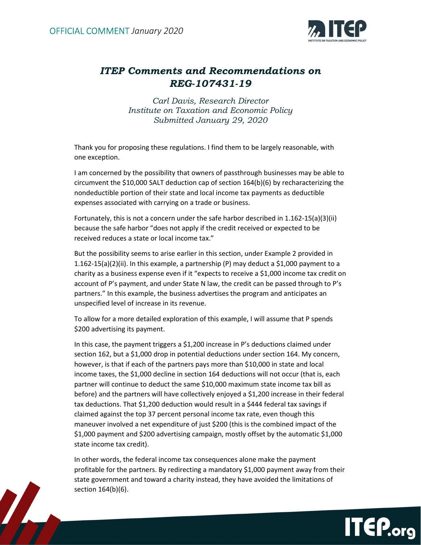1



## ITEP Comments and Recommendations on REG-107431-19

Carl Davis, Research Director Institute on Taxation and Economic Policy Submitted January 29, 2020

Thank you for proposing these regulations. I find them to be largely reasonable, with one exception.

I am concerned by the possibility that owners of passthrough businesses may be able to circumvent the \$10,000 SALT deduction cap of section 164(b)(6) by recharacterizing the nondeductible portion of their state and local income tax payments as deductible expenses associated with carrying on a trade or business.

Fortunately, this is not a concern under the safe harbor described in 1.162-15(a)(3)(ii) because the safe harbor "does not apply if the credit received or expected to be received reduces a state or local income tax."

But the possibility seems to arise earlier in this section, under Example 2 provided in 1.162-15(a)(2)(ii). In this example, a partnership (P) may deduct a \$1,000 payment to a charity as a business expense even if it "expects to receive a \$1,000 income tax credit on account of P's payment, and under State N law, the credit can be passed through to P's partners." In this example, the business advertises the program and anticipates an unspecified level of increase in its revenue.

To allow for a more detailed exploration of this example, I will assume that P spends \$200 advertising its payment.

In this case, the payment triggers a \$1,200 increase in P's deductions claimed under section 162, but a \$1,000 drop in potential deductions under section 164. My concern, however, is that if each of the partners pays more than \$10,000 in state and local income taxes, the \$1,000 decline in section 164 deductions will not occur (that is, each partner will continue to deduct the same \$10,000 maximum state income tax bill as before) and the partners will have collectively enjoyed a \$1,200 increase in their federal tax deductions. That \$1,200 deduction would result in a \$444 federal tax savings if claimed against the top 37 percent personal income tax rate, even though this maneuver involved a net expenditure of just \$200 (this is the combined impact of the \$1,000 payment and \$200 advertising campaign, mostly offset by the automatic \$1,000 state income tax credit).

In other words, the federal income tax consequences alone make the payment profitable for the partners. By redirecting a mandatory \$1,000 payment away from their state government and toward a charity instead, they have avoided the limitations of section 164(b)(6).